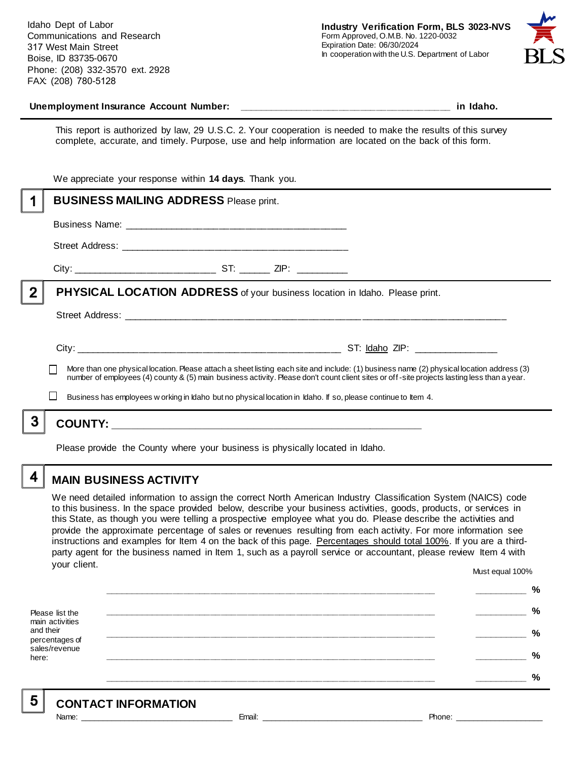Idaho Dept of Labor Communications and Research 317 West Main Street Boise, ID 83735-0670 Phone: (208) 332-3570 ext. 2928 FAX: (208) 780-5128



#### **Unemployment Insurance Account Number: \_\_\_\_\_\_\_\_\_\_\_\_\_\_\_\_\_\_\_\_\_\_\_\_\_\_\_\_\_\_\_\_\_\_\_\_\_\_\_\_ in Idaho.**

This report is authorized by law, 29 U.S.C. 2. Your cooperation is needed to make the results of this survey complete, accurate, and timely. Purpose, use and help information are located on the back of this form.

|   | We appreciate your response within 14 days. Thank you.                                                                                                                                                                                                                                   |  |  |                                                                                                               |
|---|------------------------------------------------------------------------------------------------------------------------------------------------------------------------------------------------------------------------------------------------------------------------------------------|--|--|---------------------------------------------------------------------------------------------------------------|
|   | <b>BUSINESS MAILING ADDRESS Please print.</b>                                                                                                                                                                                                                                            |  |  |                                                                                                               |
|   |                                                                                                                                                                                                                                                                                          |  |  |                                                                                                               |
|   |                                                                                                                                                                                                                                                                                          |  |  |                                                                                                               |
|   |                                                                                                                                                                                                                                                                                          |  |  |                                                                                                               |
| 2 | PHYSICAL LOCATION ADDRESS of your business location in Idaho. Please print.                                                                                                                                                                                                              |  |  |                                                                                                               |
|   |                                                                                                                                                                                                                                                                                          |  |  |                                                                                                               |
|   |                                                                                                                                                                                                                                                                                          |  |  |                                                                                                               |
|   | More than one physical location. Please attach a sheet listing each site and include: (1) business name (2) physical location address (3)<br>number of employees (4) county & (5) main business activity. Please don't count client sites or off-site projects lasting less than a year. |  |  |                                                                                                               |
|   |                                                                                                                                                                                                                                                                                          |  |  | Business has employees w orking in Idaho but no physical location in Idaho. If so, please continue to Item 4. |
|   |                                                                                                                                                                                                                                                                                          |  |  |                                                                                                               |
|   | Please provide the County where your business is physically located in Idaho.                                                                                                                                                                                                            |  |  |                                                                                                               |

### **MAIN BUSINESS ACTIVITY**

4

5

We need detailed information to assign the correct North American Industry Classification System (NAICS) code to this business. In the space provided below, describe your business activities, goods, products, or services in this State, as though you were telling a prospective employee what you do. Please describe the activities and provide the approximate percentage of sales or revenues resulting from each activity. For more information see instructions and examples for Item 4 on the back of this page. Percentages should total 100%. If you are a thirdparty agent for the business named in Item 1, such as a payroll service or accountant, please review Item 4 with your client. Must equal 100%

Please list the main activities and their percentages of sales/revenue here: **\_\_\_\_\_\_\_\_\_\_\_\_\_\_\_\_\_\_\_\_\_\_\_\_\_\_\_\_\_\_\_\_\_\_\_\_\_\_\_\_\_\_\_\_\_\_\_\_\_\_\_\_\_\_\_\_\_\_\_\_\_\_ \_\_\_\_\_\_\_\_\_\_ % \_\_\_\_\_\_\_\_\_\_\_\_\_\_\_\_\_\_\_\_\_\_\_\_\_\_\_\_\_\_\_\_\_\_\_\_\_\_\_\_\_\_\_\_\_\_\_\_\_\_\_\_\_\_\_\_\_\_\_\_\_\_ \_\_\_\_\_\_\_\_\_\_ % \_\_\_\_\_\_\_\_\_\_\_\_\_\_\_\_\_\_\_\_\_\_\_\_\_\_\_\_\_\_\_\_\_\_\_\_\_\_\_\_\_\_\_\_\_\_\_\_\_\_\_\_\_\_\_\_\_\_\_\_\_\_ \_\_\_\_\_\_\_\_\_\_ % \_\_\_\_\_\_\_\_\_\_\_\_\_\_\_\_\_\_\_\_\_\_\_\_\_\_\_\_\_\_\_\_\_\_\_\_\_\_\_\_\_\_\_\_\_\_\_\_\_\_\_\_\_\_\_\_\_\_\_\_\_\_ \_\_\_\_\_\_\_\_\_\_ % \_\_\_\_\_\_\_\_\_\_\_\_\_\_\_\_\_\_\_\_\_\_\_\_\_\_\_\_\_\_\_\_\_\_\_\_\_\_\_\_\_\_\_\_\_\_\_\_\_\_\_\_\_\_\_\_\_\_\_\_\_\_ \_\_\_\_\_\_\_\_\_\_ %**